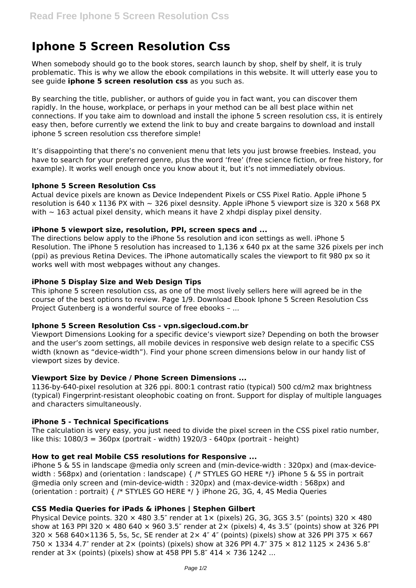# **Iphone 5 Screen Resolution Css**

When somebody should go to the book stores, search launch by shop, shelf by shelf, it is truly problematic. This is why we allow the ebook compilations in this website. It will utterly ease you to see guide **iphone 5 screen resolution css** as you such as.

By searching the title, publisher, or authors of guide you in fact want, you can discover them rapidly. In the house, workplace, or perhaps in your method can be all best place within net connections. If you take aim to download and install the iphone 5 screen resolution css, it is entirely easy then, before currently we extend the link to buy and create bargains to download and install iphone 5 screen resolution css therefore simple!

It's disappointing that there's no convenient menu that lets you just browse freebies. Instead, you have to search for your preferred genre, plus the word 'free' (free science fiction, or free history, for example). It works well enough once you know about it, but it's not immediately obvious.

## **Iphone 5 Screen Resolution Css**

Actual device pixels are known as Device Independent Pixels or CSS Pixel Ratio. Apple iPhone 5 resolution is 640 x 1136 PX with  $\sim$  326 pixel desnsity. Apple iPhone 5 viewport size is 320 x 568 PX with  $\sim$  163 actual pixel density, which means it have 2 xhdpi display pixel density.

## **iPhone 5 viewport size, resolution, PPI, screen specs and ...**

The directions below apply to the iPhone 5s resolution and icon settings as well. iPhone 5 Resolution. The iPhone 5 resolution has increased to 1,136 x 640 px at the same 326 pixels per inch (ppi) as previous Retina Devices. The iPhone automatically scales the viewport to fit 980 px so it works well with most webpages without any changes.

## **iPhone 5 Display Size and Web Design Tips**

This iphone 5 screen resolution css, as one of the most lively sellers here will agreed be in the course of the best options to review. Page 1/9. Download Ebook Iphone 5 Screen Resolution Css Project Gutenberg is a wonderful source of free ebooks – ...

# **Iphone 5 Screen Resolution Css - vpn.sigecloud.com.br**

Viewport Dimensions Looking for a specific device's viewport size? Depending on both the browser and the user's zoom settings, all mobile devices in responsive web design relate to a specific CSS width (known as "device-width"). Find your phone screen dimensions below in our handy list of viewport sizes by device.

# **Viewport Size by Device / Phone Screen Dimensions ...**

1136-by-640-pixel resolution at 326 ppi. 800:1 contrast ratio (typical) 500 cd/m2 max brightness (typical) Fingerprint-resistant oleophobic coating on front. Support for display of multiple languages and characters simultaneously.

# **iPhone 5 - Technical Specifications**

The calculation is very easy, you just need to divide the pixel screen in the CSS pixel ratio number, like this:  $1080/3 = 360px$  (portrait - width)  $1920/3 - 640px$  (portrait - height)

# **How to get real Mobile CSS resolutions for Responsive ...**

iPhone 5 & 5S in landscape @media only screen and (min-device-width : 320px) and (max-devicewidth : 568px) and (orientation : landscape) { /\* STYLES GO HERE \*/} iPhone 5 & 5S in portrait @media only screen and (min-device-width : 320px) and (max-device-width : 568px) and (orientation : portrait) { /\* STYLES GO HERE \*/ } iPhone 2G, 3G, 4, 4S Media Queries

# **CSS Media Queries for iPads & iPhones | Stephen Gilbert**

Physical Device points. 320  $\times$  480 3.5" render at 1 $\times$  (pixels) 2G, 3G, 3GS 3.5" (points) 320  $\times$  480 show at 163 PPI 320  $\times$  480 640  $\times$  960 3.5" render at 2 $\times$  (pixels) 4, 4s 3.5" (points) show at 326 PPI 320  $\times$  568 640×1136 5, 5s, 5c, SE render at 2 $\times$  4" 4" (points) (pixels) show at 326 PPI 375  $\times$  667 750  $\times$  1334 4.7" render at 2 $\times$  (points) (pixels) show at 326 PPI 4.7" 375  $\times$  812 1125  $\times$  2436 5.8" render at  $3 \times$  (points) (pixels) show at 458 PPI 5.8" 414  $\times$  736 1242 ...